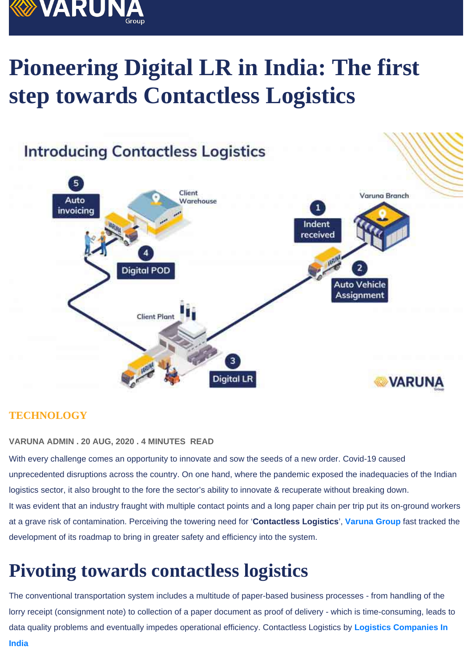# Pioneering Digital LR in India: The first step towards Contactless Logistics

### **TECHNOLOGY**

VARUNA ADMIN . 20 AUG, 2020 . 4 MINUTES READ

With every challenge comes an opportunity to innovate and sow the seeds of a new order. Covid-19 caused unprecedented disruptions across the country. On one hand, where the pandemic exposed the inadequacies of the Indian logistics sector, it also brought to the fore the sector's ability to innovate & recuperate without breaking down. It was evident that an industry fraught with multiple contact points and a long paper chain per trip put its on-ground workers at a grave risk of contamination. Perceiving the towering need for 'Contactless Logistics ', [Varuna Group](https://www.varuna.net/) fast tracked the development of its roadmap to bring in greater safety and efficiency into the system.

### Pivoting towards contactless logistics

The conventional transportation system includes a multitude of paper-based business processes - from handling of the lorry receipt (consignment note) to collection of a paper document as proof of delivery - which is time-consuming, leads to data quality problems and eventually impedes operational efficiency. Contactless Logistics by [Logistics Companies In](https://www.varuna.net/logistics-management-services)  [India](https://www.varuna.net/logistics-management-services)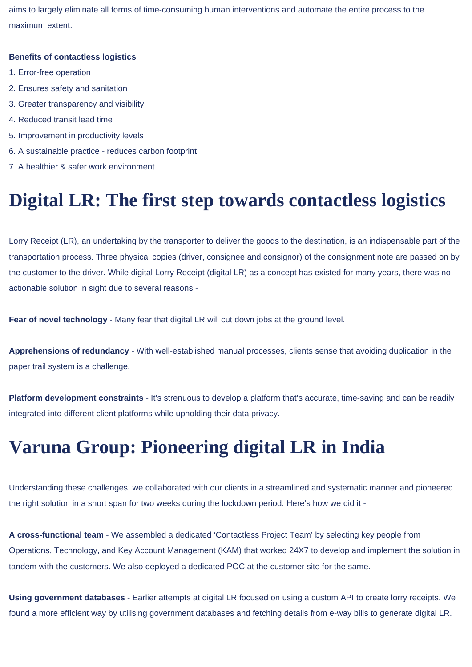aims to largely eliminate all forms of time-consuming human interventions and automate the entire process to the maximum extent.

#### **Benefits of contactless logistics**

- 1. Error-free operation
- 2. Ensures safety and sanitation
- 3. Greater transparency and visibility
- 4. Reduced transit lead time
- 5. Improvement in productivity levels
- 6. A sustainable practice reduces carbon footprint
- 7. A healthier & safer work environment

### **Digital LR: The first step towards contactless logistics**

Lorry Receipt (LR), an undertaking by the transporter to deliver the goods to the destination, is an indispensable part of the transportation process. Three physical copies (driver, consignee and consignor) of the consignment note are passed on by the customer to the driver. While digital Lorry Receipt (digital LR) as a concept has existed for many years, there was no actionable solution in sight due to several reasons -

**Fear of novel technology** - Many fear that digital LR will cut down jobs at the ground level.

**Apprehensions of redundancy** - With well-established manual processes, clients sense that avoiding duplication in the paper trail system is a challenge.

**Platform development constraints** - It's strenuous to develop a platform that's accurate, time-saving and can be readily integrated into different client platforms while upholding their data privacy.

### **Varuna Group: Pioneering digital LR in India**

Understanding these challenges, we collaborated with our clients in a streamlined and systematic manner and pioneered the right solution in a short span for two weeks during the lockdown period. Here's how we did it -

**A cross-functional team** - We assembled a dedicated 'Contactless Project Team' by selecting key people from Operations, Technology, and Key Account Management (KAM) that worked 24X7 to develop and implement the solution in tandem with the customers. We also deployed a dedicated POC at the customer site for the same.

**Using government databases** - Earlier attempts at digital LR focused on using a custom API to create lorry receipts. We found a more efficient way by utilising government databases and fetching details from e-way bills to generate digital LR.